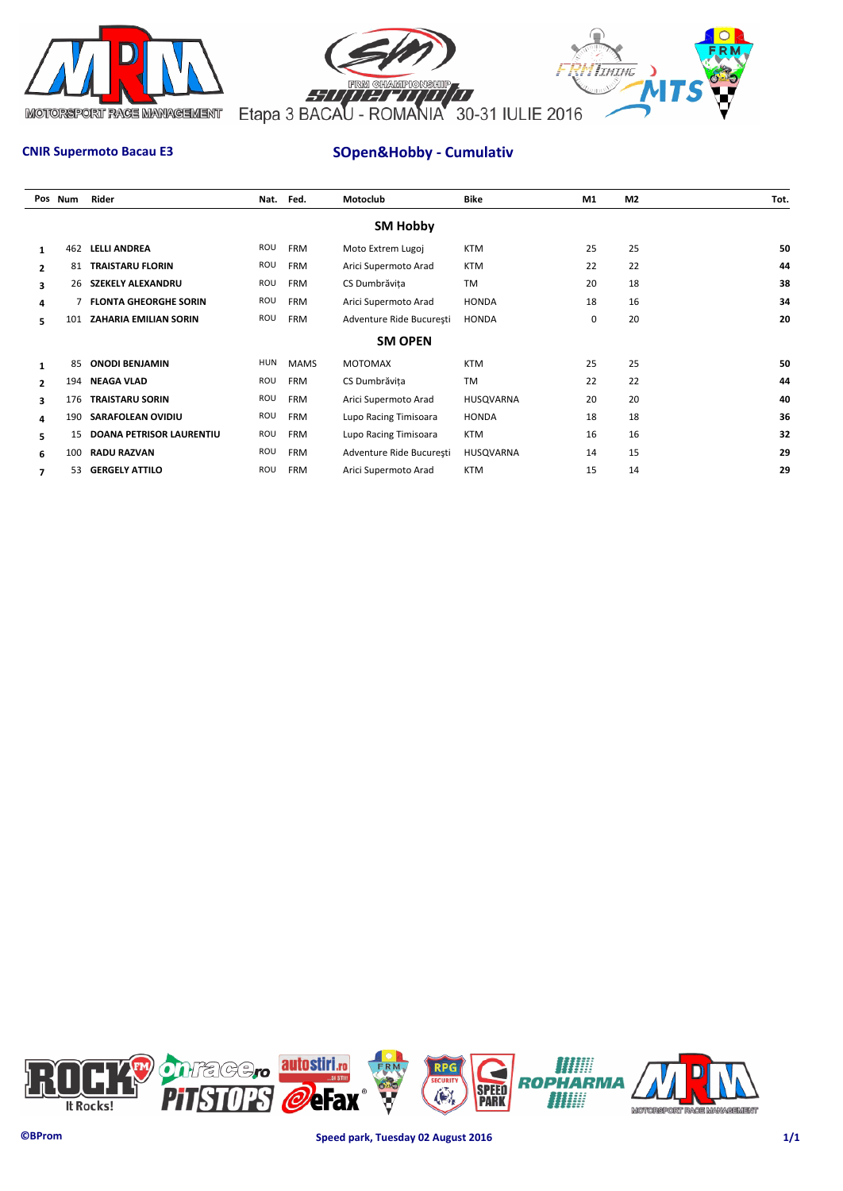



# **CNIR Supermoto Bacau E3 SOpen&Hobby - Cumulativ**

|                | Pos Num | Rider                           | Nat.       | Fed.        | Motoclub                 | <b>Bike</b>  | M1 | M <sub>2</sub> | Tot. |
|----------------|---------|---------------------------------|------------|-------------|--------------------------|--------------|----|----------------|------|
|                |         |                                 |            |             | <b>SM Hobby</b>          |              |    |                |      |
| 1              | 462     | <b>LELLI ANDREA</b>             | ROU        | <b>FRM</b>  | Moto Extrem Lugoj        | <b>KTM</b>   | 25 | 25             | 50   |
| $\overline{2}$ | 81      | <b>TRAISTARU FLORIN</b>         | ROU        | <b>FRM</b>  | Arici Supermoto Arad     | <b>KTM</b>   | 22 | 22             | 44   |
| 3              | 26      | <b>SZEKELY ALEXANDRU</b>        | ROU        | <b>FRM</b>  | CS Dumbrăvita            | <b>TM</b>    | 20 | 18             | 38   |
| 4              |         | <b>FLONTA GHEORGHE SORIN</b>    | ROU        | <b>FRM</b>  | Arici Supermoto Arad     | <b>HONDA</b> | 18 | 16             | 34   |
| 5.             | 101     | <b>ZAHARIA EMILIAN SORIN</b>    | ROU        | <b>FRM</b>  | Adventure Ride București | <b>HONDA</b> | 0  | 20             | 20   |
|                |         |                                 |            |             | <b>SM OPEN</b>           |              |    |                |      |
|                | 85      | <b>ONODI BENJAMIN</b>           | <b>HUN</b> | <b>MAMS</b> | <b>MOTOMAX</b>           | <b>KTM</b>   | 25 | 25             | 50   |
| $\overline{2}$ | 194     | <b>NEAGA VLAD</b>               | ROU        | <b>FRM</b>  | CS Dumbrăvița            | <b>TM</b>    | 22 | 22             | 44   |
| 3              | 176     | <b>TRAISTARU SORIN</b>          | ROU        | <b>FRM</b>  | Arici Supermoto Arad     | HUSQVARNA    | 20 | 20             | 40   |
| 4              | 190     | SARAFOLEAN OVIDIU               | ROU        | <b>FRM</b>  | Lupo Racing Timisoara    | <b>HONDA</b> | 18 | 18             | 36   |
| 5.             | 15      | <b>DOANA PETRISOR LAURENTIU</b> | ROU        | <b>FRM</b>  | Lupo Racing Timisoara    | <b>KTM</b>   | 16 | 16             | 32   |
| 6              | 100     | <b>RADU RAZVAN</b>              | ROU        | <b>FRM</b>  | Adventure Ride București | HUSQVARNA    | 14 | 15             | 29   |
|                | 53      | <b>GERGELY ATTILO</b>           | ROU        | <b>FRM</b>  | Arici Supermoto Arad     | <b>KTM</b>   | 15 | 14             | 29   |

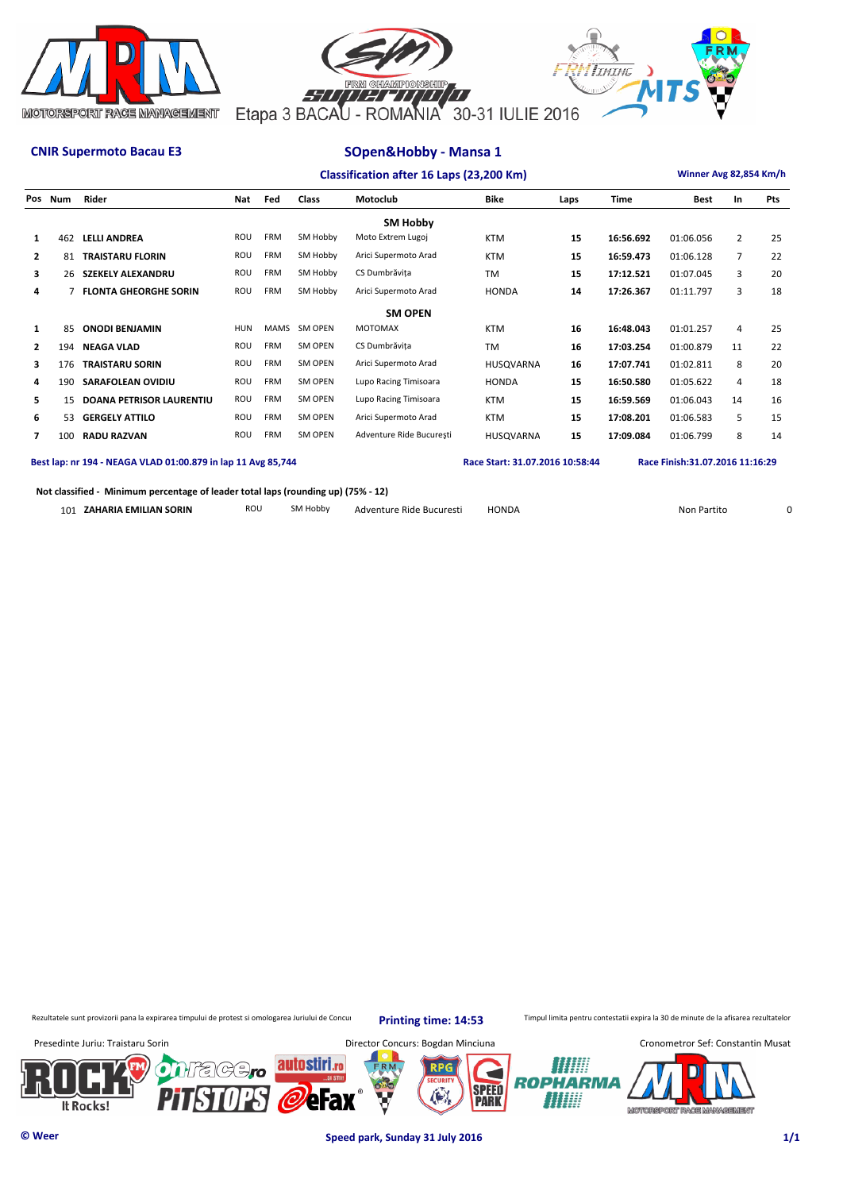



| Classification after 16 Laps (23,200 Km) |         |                                 |            |             |                |                          |                  |      |             |             | Winner Avg 82,854 Km/h |     |  |
|------------------------------------------|---------|---------------------------------|------------|-------------|----------------|--------------------------|------------------|------|-------------|-------------|------------------------|-----|--|
|                                          | Pos Num | Rider                           | <b>Nat</b> | Fed         | <b>Class</b>   | Motoclub                 | <b>Bike</b>      | Laps | <b>Time</b> | <b>Best</b> | In                     | Pts |  |
|                                          |         |                                 |            |             |                | <b>SM Hobby</b>          |                  |      |             |             |                        |     |  |
| $\mathbf{1}$                             | 462     | <b>LELLI ANDREA</b>             | <b>ROU</b> | <b>FRM</b>  | SM Hobby       | Moto Extrem Lugoj        | <b>KTM</b>       | 15   | 16:56.692   | 01:06.056   | $\overline{2}$         | 25  |  |
| $\mathbf{2}$                             | 81      | <b>TRAISTARU FLORIN</b>         | ROU        | <b>FRM</b>  | SM Hobby       | Arici Supermoto Arad     | <b>KTM</b>       | 15   | 16:59.473   | 01:06.128   | $\overline{7}$         | 22  |  |
| 3                                        | 26      | <b>SZEKELY ALEXANDRU</b>        | ROU        | <b>FRM</b>  | SM Hobby       | CS Dumbrăvita            | <b>TM</b>        | 15   | 17:12.521   | 01:07.045   | 3                      | 20  |  |
| 4                                        |         | <b>FLONTA GHEORGHE SORIN</b>    | ROU        | <b>FRM</b>  | SM Hobby       | Arici Supermoto Arad     | <b>HONDA</b>     | 14   | 17:26.367   | 01:11.797   | 3                      | 18  |  |
|                                          |         |                                 |            |             |                | <b>SM OPEN</b>           |                  |      |             |             |                        |     |  |
| 1                                        | 85      | <b>ONODI BENJAMIN</b>           | <b>HUN</b> | <b>MAMS</b> | SM OPEN        | <b>MOTOMAX</b>           | <b>KTM</b>       | 16   | 16:48.043   | 01:01.257   | 4                      | 25  |  |
| $\overline{2}$                           | 194     | <b>NEAGA VLAD</b>               | ROU        | <b>FRM</b>  | <b>SM OPEN</b> | CS Dumbrăvita            | <b>TM</b>        | 16   | 17:03.254   | 01:00.879   | 11                     | 22  |  |
| 3                                        | 176     | <b>TRAISTARU SORIN</b>          | ROU        | <b>FRM</b>  | SM OPEN        | Arici Supermoto Arad     | <b>HUSQVARNA</b> | 16   | 17:07.741   | 01:02.811   | 8                      | 20  |  |
| 4                                        | 190     | <b>SARAFOLEAN OVIDIU</b>        | ROU        | <b>FRM</b>  | SM OPEN        | Lupo Racing Timisoara    | <b>HONDA</b>     | 15   | 16:50.580   | 01:05.622   | 4                      | 18  |  |
| 5                                        | 15      | <b>DOANA PETRISOR LAURENTIU</b> | ROU        | <b>FRM</b>  | SM OPEN        | Lupo Racing Timisoara    | <b>KTM</b>       | 15   | 16:59.569   | 01:06.043   | 14                     | 16  |  |
| 6                                        | 53      | <b>GERGELY ATTILO</b>           | ROU        | <b>FRM</b>  | SM OPEN        | Arici Supermoto Arad     | <b>KTM</b>       | 15   | 17:08.201   | 01:06.583   | 5                      | 15  |  |
| 7                                        | 100     | <b>RADU RAZVAN</b>              | ROU        | <b>FRM</b>  | SM OPEN        | Adventure Ride București | <b>HUSOVARNA</b> | 15   | 17:09.084   | 01:06.799   | 8                      | 14  |  |
|                                          |         |                                 |            |             |                |                          |                  |      |             |             |                        |     |  |

### **Best lap: nr 194 - NEAGA VLAD 01:00.879 in lap 11 Avg 85,744 Race Start: 31.07.2016 10:58:44 Race Finish:31.07.2016 11:16:29**

**Not classified - Minimum percentage of leader total laps (rounding up) (75% - 12)**

101 **ZAHARIA EMILIAN SORIN** ROU SM Hobby Adventure Ride Bucuresti HONDA Non Partito 0

Rezultatele sunt provizorii pana la expirarea timpului de protest si omologarea Juriului de Concurs Printing time: 14:53 Timpul limita pentru contestatii expira la 30 de minute de la afisarea rezultatelor

**Printing time: 14:53**



**© Weer Speed park, Sunday 31 July 2016 1/1**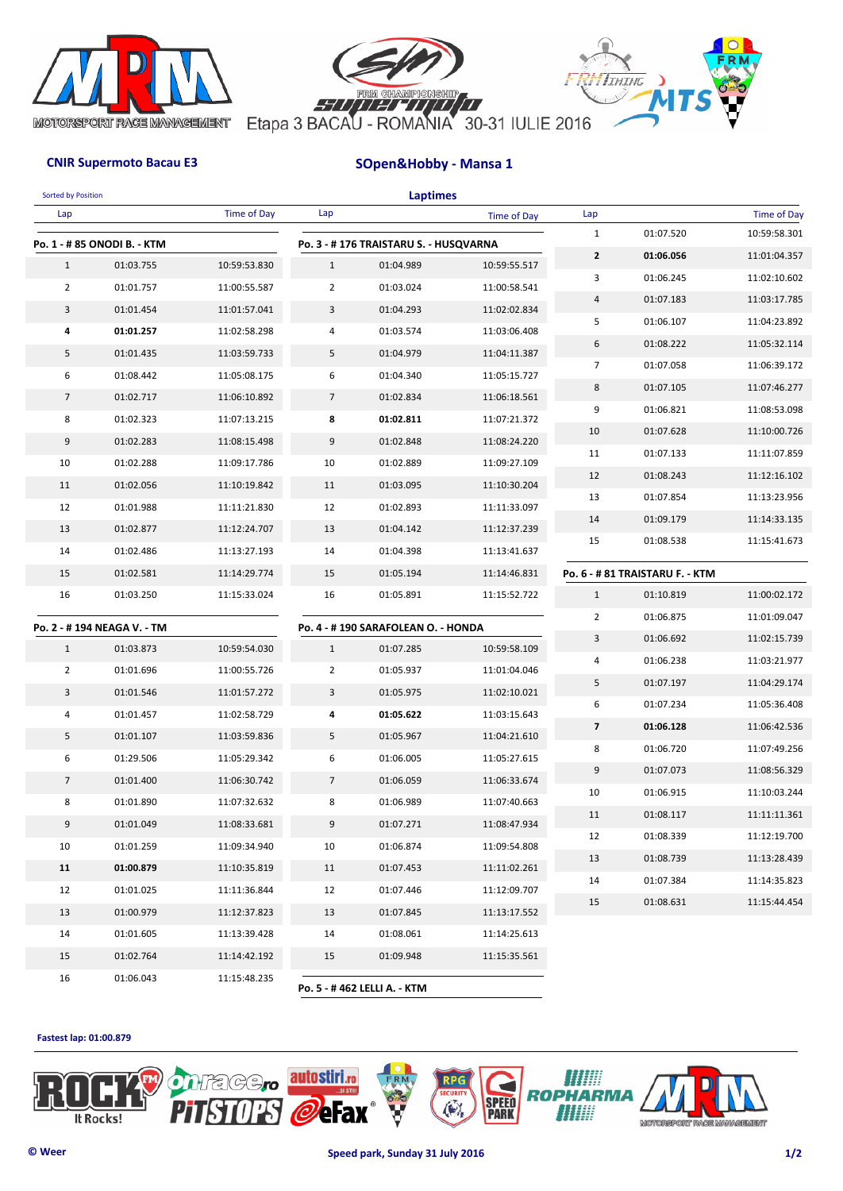





| <b>Sorted by Position</b> |                             |              |                | <b>Laptimes</b>                       |                    |                          |                                 |                    |
|---------------------------|-----------------------------|--------------|----------------|---------------------------------------|--------------------|--------------------------|---------------------------------|--------------------|
| Lap                       |                             | Time of Day  | Lap            |                                       | <b>Time of Day</b> | Lap                      |                                 | <b>Time of Day</b> |
|                           | Po. 1 - # 85 ONODI B. - KTM |              |                | Po. 3 - #176 TRAISTARU S. - HUSQVARNA |                    | $\mathbf{1}$             | 01:07.520                       | 10:59:58.301       |
| $\mathbf{1}$              | 01:03.755                   | 10:59:53.830 | $\mathbf{1}$   | 01:04.989                             | 10:59:55.517       | $\mathbf{2}$             | 01:06.056                       | 11:01:04.357       |
| $\overline{2}$            | 01:01.757                   | 11:00:55.587 | $\overline{2}$ | 01:03.024                             | 11:00:58.541       | 3                        | 01:06.245                       | 11:02:10.602       |
| 3                         | 01:01.454                   | 11:01:57.041 | 3              | 01:04.293                             | 11:02:02.834       | 4                        | 01:07.183                       | 11:03:17.785       |
| 4                         | 01:01.257                   | 11:02:58.298 | 4              | 01:03.574                             | 11:03:06.408       | 5                        | 01:06.107                       | 11:04:23.892       |
| 5                         | 01:01.435                   | 11:03:59.733 | 5              | 01:04.979                             | 11:04:11.387       | 6                        | 01:08.222                       | 11:05:32.114       |
| 6                         | 01:08.442                   | 11:05:08.175 | 6              | 01:04.340                             | 11:05:15.727       | $\overline{7}$           | 01:07.058                       | 11:06:39.172       |
| $\overline{7}$            | 01:02.717                   | 11:06:10.892 | $\overline{7}$ | 01:02.834                             | 11:06:18.561       | 8                        | 01:07.105                       | 11:07:46.277       |
| 8                         | 01:02.323                   | 11:07:13.215 | 8              | 01:02.811                             | 11:07:21.372       | 9                        | 01:06.821                       | 11:08:53.098       |
| 9                         | 01:02.283                   | 11:08:15.498 | 9              | 01:02.848                             | 11:08:24.220       | 10                       | 01:07.628                       | 11:10:00.726       |
| 10                        | 01:02.288                   | 11:09:17.786 | 10             | 01:02.889                             | 11:09:27.109       | 11                       | 01:07.133                       | 11:11:07.859       |
| 11                        | 01:02.056                   | 11:10:19.842 | 11             | 01:03.095                             | 11:10:30.204       | 12                       | 01:08.243                       | 11:12:16.102       |
| 12                        | 01:01.988                   | 11:11:21.830 | 12             | 01:02.893                             | 11:11:33.097       | 13                       | 01:07.854                       | 11:13:23.956       |
| 13                        | 01:02.877                   | 11:12:24.707 | 13             | 01:04.142                             | 11:12:37.239       | 14                       | 01:09.179                       | 11:14:33.135       |
| 14                        | 01:02.486                   | 11:13:27.193 | 14             | 01:04.398                             | 11:13:41.637       | 15                       | 01:08.538                       | 11:15:41.673       |
| 15                        | 01:02.581                   | 11:14:29.774 | 15             | 01:05.194                             | 11:14:46.831       |                          | Po. 6 - # 81 TRAISTARU F. - KTM |                    |
| 16                        | 01:03.250                   | 11:15:33.024 | 16             | 01:05.891                             | 11:15:52.722       | $\mathbf{1}$             | 01:10.819                       | 11:00:02.172       |
|                           |                             |              |                |                                       |                    | $\overline{2}$           | 01:06.875                       | 11:01:09.047       |
|                           | Po. 2 - # 194 NEAGA V. - TM |              |                | Po. 4 - #190 SARAFOLEAN O. - HONDA    |                    | 3                        | 01:06.692                       | 11:02:15.739       |
| $\mathbf{1}$              | 01:03.873                   | 10:59:54.030 | $\mathbf{1}$   | 01:07.285                             | 10:59:58.109       | 4                        | 01:06.238                       | 11:03:21.977       |
| $\overline{2}$            | 01:01.696                   | 11:00:55.726 | $\overline{2}$ | 01:05.937                             | 11:01:04.046       | 5                        | 01:07.197                       | 11:04:29.174       |
| 3                         | 01:01.546                   | 11:01:57.272 | 3              | 01:05.975                             | 11:02:10.021       | 6                        | 01:07.234                       | 11:05:36.408       |
| 4                         | 01:01.457                   | 11:02:58.729 | 4              | 01:05.622                             | 11:03:15.643       | $\overline{\phantom{a}}$ | 01:06.128                       | 11:06:42.536       |
| 5                         | 01:01.107                   | 11:03:59.836 | 5              | 01:05.967                             | 11:04:21.610       | 8                        | 01:06.720                       | 11:07:49.256       |
| 6                         | 01:29.506                   | 11:05:29.342 | 6              | 01:06.005                             | 11:05:27.615       | 9                        | 01:07.073                       | 11:08:56.329       |
| $\overline{7}$            | 01:01.400                   | 11:06:30.742 | $\overline{7}$ | 01:06.059                             | 11:06:33.674       | 10                       | 01:06.915                       | 11:10:03.244       |
| 8                         | 01:01.890                   | 11:07:32.632 | 8              | 01:06.989                             | 11:07:40.663       | 11                       | 01:08.117                       | 11:11:11.361       |
| 9                         | 01:01.049                   | 11:08:33.681 | 9              | 01:07.271                             | 11:08:47.934       |                          | 01:08.339                       | 11:12:19.700       |
| 10                        | 01:01.259                   | 11:09:34.940 | 10             | 01:06.874                             | 11:09:54.808       | 12                       |                                 |                    |
| 11                        | 01:00.879                   | 11:10:35.819 | 11             | 01:07.453                             | 11:11:02.261       | 13                       | 01:08.739<br>01:07.384          | 11:13:28.439       |
| 12                        | 01:01.025                   | 11:11:36.844 | 12             | 01:07.446                             | 11:12:09.707       | 14                       |                                 | 11:14:35.823       |
| 13                        | 01:00.979                   | 11:12:37.823 | 13             | 01:07.845                             | 11:13:17.552       | 15                       | 01:08.631                       | 11:15:44.454       |
| 14                        | 01:01.605                   | 11:13:39.428 | 14             | 01:08.061                             | 11:14:25.613       |                          |                                 |                    |
| 15                        | 01:02.764                   | 11:14:42.192 | 15             | 01:09.948                             | 11:15:35.561       |                          |                                 |                    |
| 16                        | 01:06.043                   | 11:15:48.235 |                | Po. 5 - #462 LELLI A. - KTM           |                    |                          |                                 |                    |

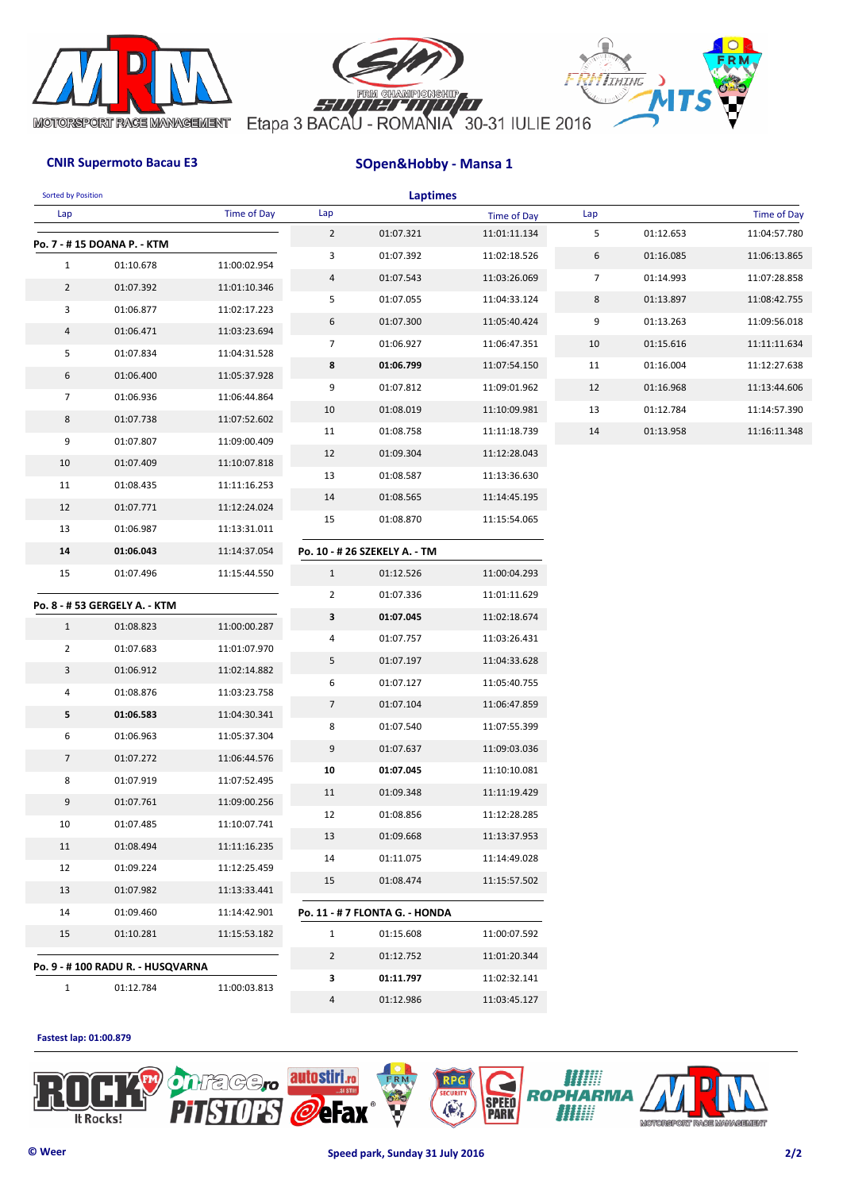



| <b>Sorted by Position</b> |                                               |                    |                | <b>Laptimes</b>                |                              |     |           |                    |
|---------------------------|-----------------------------------------------|--------------------|----------------|--------------------------------|------------------------------|-----|-----------|--------------------|
| Lap                       |                                               | <b>Time of Day</b> | Lap            |                                | <b>Time of Day</b>           | Lap |           | <b>Time of Day</b> |
|                           | Po. 7 - #15 DOANA P. - KTM                    |                    | $\overline{2}$ | 01:07.321                      | 11:01:11.134                 | 5   | 01:12.653 | 11:04:57.780       |
| $\mathbf{1}$              | 01:10.678                                     | 11:00:02.954       | 3              | 01:07.392                      | 11:02:18.526                 | 6   | 01:16.085 | 11:06:13.865       |
| $\overline{2}$            | 01:07.392                                     | 11:01:10.346       | 4              | 01:07.543                      | 11:03:26.069                 | 7   | 01:14.993 | 11:07:28.858       |
| 3                         | 01:06.877                                     | 11:02:17.223       | 5              | 01:07.055                      | 11:04:33.124                 | 8   | 01:13.897 | 11:08:42.755       |
| 4                         | 01:06.471                                     | 11:03:23.694       | 6              | 01:07.300                      | 11:05:40.424                 | 9   | 01:13.263 | 11:09:56.018       |
| 5                         | 01:07.834                                     | 11:04:31.528       | 7              | 01:06.927                      | 11:06:47.351                 | 10  | 01:15.616 | 11:11:11.634       |
| 6                         | 01:06.400                                     | 11:05:37.928       | 8              | 01:06.799                      | 11:07:54.150                 | 11  | 01:16.004 | 11:12:27.638       |
| $\overline{7}$            | 01:06.936                                     | 11:06:44.864       | 9              | 01:07.812                      | 11:09:01.962                 | 12  | 01:16.968 | 11:13:44.606       |
| 8                         | 01:07.738                                     | 11:07:52.602       | 10             | 01:08.019                      | 11:10:09.981                 | 13  | 01:12.784 | 11:14:57.390       |
| 9                         | 01:07.807                                     | 11:09:00.409       | 11             | 01:08.758                      | 11:11:18.739                 | 14  | 01:13.958 | 11:16:11.348       |
| 10                        | 01:07.409                                     | 11:10:07.818       | 12             | 01:09.304                      | 11:12:28.043                 |     |           |                    |
| 11                        | 01:08.435                                     | 11:11:16.253       | 13             | 01:08.587                      | 11:13:36.630                 |     |           |                    |
| 12                        | 01:07.771                                     | 11:12:24.024       | 14             | 01:08.565                      | 11:14:45.195                 |     |           |                    |
| 13                        | 01:06.987                                     | 11:13:31.011       | 15             | 01:08.870                      | 11:15:54.065                 |     |           |                    |
| 14                        | 01:06.043                                     | 11:14:37.054       |                | Po. 10 - # 26 SZEKELY A. - TM  |                              |     |           |                    |
| 15                        | 01:07.496                                     | 11:15:44.550       | $\mathbf{1}$   | 01:12.526                      | 11:00:04.293                 |     |           |                    |
|                           |                                               |                    | $\overline{2}$ | 01:07.336                      | 11:01:11.629                 |     |           |                    |
|                           | Po. 8 - # 53 GERGELY A. - KTM                 |                    | 3              | 01:07.045                      | 11:02:18.674                 |     |           |                    |
| $\mathbf{1}$              | 01:08.823                                     | 11:00:00.287       | 4              | 01:07.757                      | 11:03:26.431                 |     |           |                    |
| $\overline{2}$            | 01:07.683                                     | 11:01:07.970       | 5              | 01:07.197                      | 11:04:33.628                 |     |           |                    |
| 3                         | 01:06.912                                     | 11:02:14.882       | 6              | 01:07.127                      | 11:05:40.755                 |     |           |                    |
| 4                         | 01:08.876                                     | 11:03:23.758       | $\overline{7}$ | 01:07.104                      | 11:06:47.859                 |     |           |                    |
| 5                         | 01:06.583                                     | 11:04:30.341       | 8              | 01:07.540                      | 11:07:55.399                 |     |           |                    |
| 6                         | 01:06.963                                     | 11:05:37.304       | 9              | 01:07.637                      | 11:09:03.036                 |     |           |                    |
| $\overline{7}$            | 01:07.272                                     | 11:06:44.576       |                |                                |                              |     |           |                    |
| 8                         | 01:07.919                                     | 11:07:52.495       | 10             | 01:07.045                      | 11:10:10.081<br>11:11:19.429 |     |           |                    |
| 9                         | 01:07.761                                     | 11:09:00.256       | 11             | 01:09.348                      |                              |     |           |                    |
| 10                        | 01:07.485                                     | 11:10:07.741       | 12             | 01:08.856                      | 11:12:28.285                 |     |           |                    |
| 11                        | 01:08.494                                     | 11:11:16.235       | 13             | 01:09.668                      | 11:13:37.953                 |     |           |                    |
| 12                        | 01:09.224                                     | 11:12:25.459       | 14             | 01:11.075                      | 11:14:49.028                 |     |           |                    |
| 13                        | 01:07.982                                     | 11:13:33.441       | 15             | 01:08.474                      | 11:15:57.502                 |     |           |                    |
| 14                        | 01:09.460                                     | 11:14:42.901       |                | Po. 11 - # 7 FLONTA G. - HONDA |                              |     |           |                    |
| 15                        | 01:10.281                                     | 11:15:53.182       | $\mathbf{1}$   | 01:15.608                      | 11:00:07.592                 |     |           |                    |
|                           |                                               |                    | $\overline{2}$ | 01:12.752                      | 11:01:20.344                 |     |           |                    |
|                           | Po. 9 - #100 RADU R. - HUSQVARNA<br>01:12.784 |                    | 3              | 01:11.797                      | 11:02:32.141                 |     |           |                    |
| 1                         |                                               | 11:00:03.813       | $\overline{a}$ | 01:12.986                      | 11:03:45.127                 |     |           |                    |

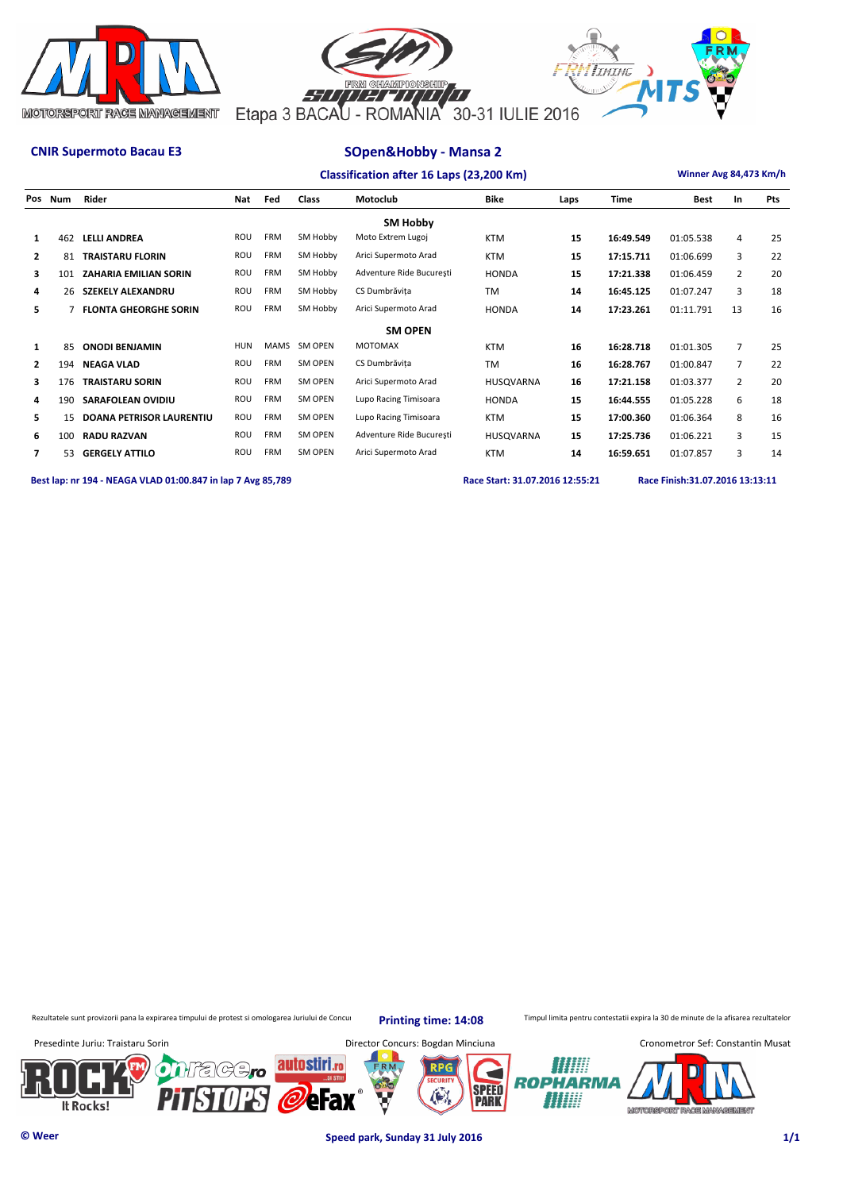



### **Classification after 16 Laps (23,200 Km) Winner Avg 84,473 Km/h**

|                | Pos Num | Rider                           | <b>Nat</b> | Fed        | Class          | Motoclub                 | <b>Bike</b>      | Laps | Time      | <b>Best</b> | In             | Pts |
|----------------|---------|---------------------------------|------------|------------|----------------|--------------------------|------------------|------|-----------|-------------|----------------|-----|
|                |         |                                 |            |            |                | <b>SM Hobby</b>          |                  |      |           |             |                |     |
| 1              | 462     | <b>LELLI ANDREA</b>             | ROU        | <b>FRM</b> | SM Hobby       | Moto Extrem Lugoj        | <b>KTM</b>       | 15   | 16:49.549 | 01:05.538   | 4              | 25  |
| $\mathbf{2}$   | 81      | <b>TRAISTARU FLORIN</b>         | ROU        | <b>FRM</b> | SM Hobby       | Arici Supermoto Arad     | <b>KTM</b>       | 15   | 17:15.711 | 01:06.699   | 3              | 22  |
| 3              | 101     | <b>ZAHARIA EMILIAN SORIN</b>    | ROU        | <b>FRM</b> | SM Hobby       | Adventure Ride București | <b>HONDA</b>     | 15   | 17:21.338 | 01:06.459   | $\overline{2}$ | 20  |
| 4              | 26      | <b>SZEKELY ALEXANDRU</b>        | ROU        | <b>FRM</b> | SM Hobby       | CS Dumbrăvita            | <b>TM</b>        | 14   | 16:45.125 | 01:07.247   | 3              | 18  |
| 5              |         | <b>FLONTA GHEORGHE SORIN</b>    | ROU        | <b>FRM</b> | SM Hobby       | Arici Supermoto Arad     | <b>HONDA</b>     | 14   | 17:23.261 | 01:11.791   | 13             | 16  |
|                |         |                                 |            |            |                | <b>SM OPEN</b>           |                  |      |           |             |                |     |
| 1              | 85      | <b>ONODI BENJAMIN</b>           | <b>HUN</b> | MAMS       | SM OPEN        | <b>MOTOMAX</b>           | <b>KTM</b>       | 16   | 16:28.718 | 01:01.305   | $\overline{7}$ | 25  |
| $\overline{2}$ | 194     | <b>NEAGA VLAD</b>               | ROU        | <b>FRM</b> | <b>SM OPEN</b> | CS Dumbrăvita            | <b>TM</b>        | 16   | 16:28.767 | 01:00.847   | $\overline{7}$ | 22  |
| 3              | 176     | <b>TRAISTARU SORIN</b>          | ROU        | <b>FRM</b> | <b>SM OPEN</b> | Arici Supermoto Arad     | HUSQVARNA        | 16   | 17:21.158 | 01:03.377   | $\overline{2}$ | 20  |
| 4              | 190     | <b>SARAFOLEAN OVIDIU</b>        | ROU        | <b>FRM</b> | <b>SM OPEN</b> | Lupo Racing Timisoara    | <b>HONDA</b>     | 15   | 16:44.555 | 01:05.228   | 6              | 18  |
| 5              | 15      | <b>DOANA PETRISOR LAURENTIU</b> | ROU        | FRM        | <b>SM OPEN</b> | Lupo Racing Timisoara    | <b>KTM</b>       | 15   | 17:00.360 | 01:06.364   | 8              | 16  |
| 6              | 100     | <b>RADU RAZVAN</b>              | ROU        | <b>FRM</b> | SM OPEN        | Adventure Ride București | <b>HUSOVARNA</b> | 15   | 17:25.736 | 01:06.221   | 3              | 15  |
| 7              | 53      | <b>GERGELY ATTILO</b>           | ROU        | <b>FRM</b> | SM OPEN        | Arici Supermoto Arad     | <b>KTM</b>       | 14   | 16:59.651 | 01:07.857   | 3              | 14  |
|                |         |                                 |            |            |                |                          |                  |      |           |             |                |     |

**Best lap: nr 194 - NEAGA VLAD 01:00.847 in lap 7 Avg 85,789 Race Start: 31.07.2016 12:55:21 Race Finish:31.07.2016 13:13:11** 

Rezultatele sunt provizorii pana la expirarea timpului de protest si omologarea Juriului de Concurs Printing time: 14:08 Timpul limita pentru contestatii expira la 30 de minute de la afisarea rezultatelor

**Printing time: 14:08**



**© Weer Speed park, Sunday 31 July 2016 1/1**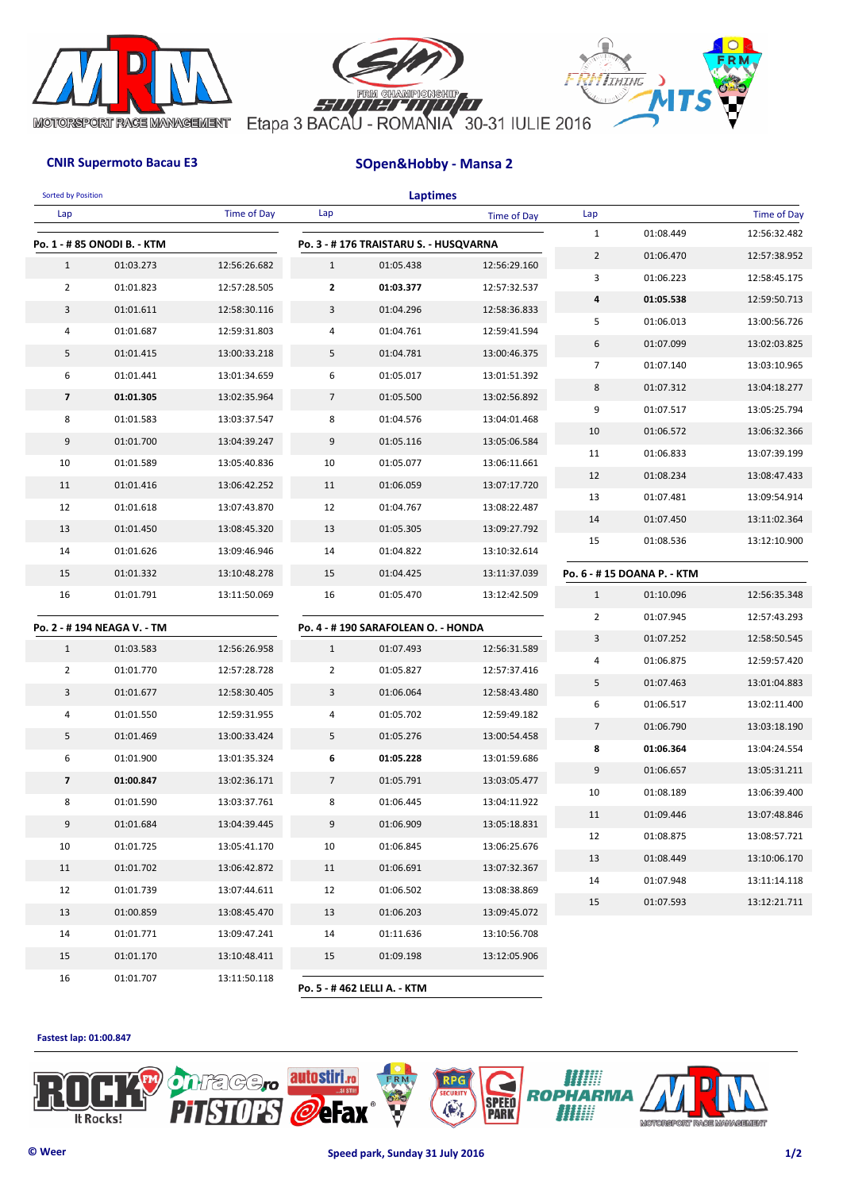





| <b>Sorted by Position</b> |                             |              |                | <b>Laptimes</b>                       |                    |                |                            |                    |
|---------------------------|-----------------------------|--------------|----------------|---------------------------------------|--------------------|----------------|----------------------------|--------------------|
| Lap                       |                             | Time of Day  | Lap            |                                       | <b>Time of Day</b> | Lap            |                            | <b>Time of Day</b> |
|                           | Po. 1 - # 85 ONODI B. - KTM |              |                | Po. 3 - #176 TRAISTARU S. - HUSQVARNA |                    | $\mathbf{1}$   | 01:08.449                  | 12:56:32.482       |
| $\mathbf{1}$              | 01:03.273                   | 12:56:26.682 | $\mathbf{1}$   | 01:05.438                             | 12:56:29.160       | $\overline{2}$ | 01:06.470                  | 12:57:38.952       |
| $\overline{2}$            | 01:01.823                   | 12:57:28.505 | $\mathbf{2}$   | 01:03.377                             | 12:57:32.537       | 3              | 01:06.223                  | 12:58:45.175       |
| 3                         | 01:01.611                   | 12:58:30.116 | 3              | 01:04.296                             | 12:58:36.833       | 4              | 01:05.538                  | 12:59:50.713       |
| 4                         | 01:01.687                   | 12:59:31.803 | 4              | 01:04.761                             | 12:59:41.594       | 5              | 01:06.013                  | 13:00:56.726       |
| 5                         | 01:01.415                   | 13:00:33.218 | 5              | 01:04.781                             | 13:00:46.375       | 6              | 01:07.099                  | 13:02:03.825       |
| 6                         | 01:01.441                   | 13:01:34.659 | 6              | 01:05.017                             | 13:01:51.392       | $\overline{7}$ | 01:07.140                  | 13:03:10.965       |
| $\overline{7}$            | 01:01.305                   | 13:02:35.964 | $\overline{7}$ | 01:05.500                             | 13:02:56.892       | 8              | 01:07.312                  | 13:04:18.277       |
| 8                         | 01:01.583                   | 13:03:37.547 | 8              | 01:04.576                             | 13:04:01.468       | 9              | 01:07.517                  | 13:05:25.794       |
|                           |                             |              |                |                                       |                    | 10             | 01:06.572                  | 13:06:32.366       |
| 9                         | 01:01.700                   | 13:04:39.247 | 9              | 01:05.116                             | 13:05:06.584       | 11             | 01:06.833                  | 13:07:39.199       |
| 10                        | 01:01.589                   | 13:05:40.836 | 10             | 01:05.077                             | 13:06:11.661       | 12             | 01:08.234                  | 13:08:47.433       |
| 11                        | 01:01.416                   | 13:06:42.252 | 11             | 01:06.059                             | 13:07:17.720       | 13             | 01:07.481                  | 13:09:54.914       |
| 12                        | 01:01.618                   | 13:07:43.870 | 12             | 01:04.767                             | 13:08:22.487       | 14             | 01:07.450                  | 13:11:02.364       |
| 13                        | 01:01.450                   | 13:08:45.320 | 13             | 01:05.305                             | 13:09:27.792       | 15             | 01:08.536                  | 13:12:10.900       |
| 14                        | 01:01.626                   | 13:09:46.946 | 14             | 01:04.822                             | 13:10:32.614       |                |                            |                    |
| 15                        | 01:01.332                   | 13:10:48.278 | 15             | 01:04.425                             | 13:11:37.039       |                | Po. 6 - #15 DOANA P. - KTM |                    |
| 16                        | 01:01.791                   | 13:11:50.069 | 16             | 01:05.470                             | 13:12:42.509       | $\mathbf{1}$   | 01:10.096                  | 12:56:35.348       |
|                           | Po. 2 - # 194 NEAGA V. - TM |              |                | Po. 4 - #190 SARAFOLEAN O. - HONDA    |                    | $\overline{2}$ | 01:07.945                  | 12:57:43.293       |
| $\mathbf{1}$              | 01:03.583                   | 12:56:26.958 | $\mathbf{1}$   | 01:07.493                             | 12:56:31.589       | 3              | 01:07.252                  | 12:58:50.545       |
| $\overline{2}$            | 01:01.770                   | 12:57:28.728 | $\overline{2}$ | 01:05.827                             | 12:57:37.416       | 4              | 01:06.875                  | 12:59:57.420       |
| 3                         | 01:01.677                   | 12:58:30.405 | 3              | 01:06.064                             | 12:58:43.480       | 5              | 01:07.463                  | 13:01:04.883       |
| 4                         | 01:01.550                   | 12:59:31.955 | 4              | 01:05.702                             | 12:59:49.182       | 6              | 01:06.517                  | 13:02:11.400       |
| 5                         | 01:01.469                   | 13:00:33.424 | 5              | 01:05.276                             | 13:00:54.458       | $\overline{7}$ | 01:06.790                  | 13:03:18.190       |
| 6                         | 01:01.900                   | 13:01:35.324 | 6              | 01:05.228                             | 13:01:59.686       | 8              | 01:06.364                  | 13:04:24.554       |
| $\overline{\phantom{a}}$  | 01:00.847                   | 13:02:36.171 | $\overline{7}$ | 01:05.791                             | 13:03:05.477       | $9\,$          | 01:06.657                  | 13:05:31.211       |
| 8                         | 01:01.590                   | 13:03:37.761 | 8              | 01:06.445                             | 13:04:11.922       | 10             | 01:08.189                  | 13:06:39.400       |
| 9                         | 01:01.684                   | 13:04:39.445 | 9              | 01:06.909                             | 13:05:18.831       | 11             | 01:09.446                  | 13:07:48.846       |
| 10                        | 01:01.725                   | 13:05:41.170 | 10             | 01:06.845                             | 13:06:25.676       | 12             | 01:08.875                  | 13:08:57.721       |
| 11                        | 01:01.702                   | 13:06:42.872 | 11             | 01:06.691                             | 13:07:32.367       | 13             | 01:08.449                  | 13:10:06.170       |
| 12                        | 01:01.739                   | 13:07:44.611 | 12             | 01:06.502                             | 13:08:38.869       | 14             | 01:07.948                  | 13:11:14.118       |
| 13                        | 01:00.859                   | 13:08:45.470 | 13             | 01:06.203                             | 13:09:45.072       | 15             | 01:07.593                  | 13:12:21.711       |
| 14                        | 01:01.771                   | 13:09:47.241 | 14             | 01:11.636                             | 13:10:56.708       |                |                            |                    |
| 15                        | 01:01.170                   | 13:10:48.411 | 15             | 01:09.198                             | 13:12:05.906       |                |                            |                    |
| 16                        | 01:01.707                   | 13:11:50.118 |                |                                       |                    |                |                            |                    |
|                           |                             |              |                | Po. 5 - #462 LELLI A. - KTM           |                    |                |                            |                    |

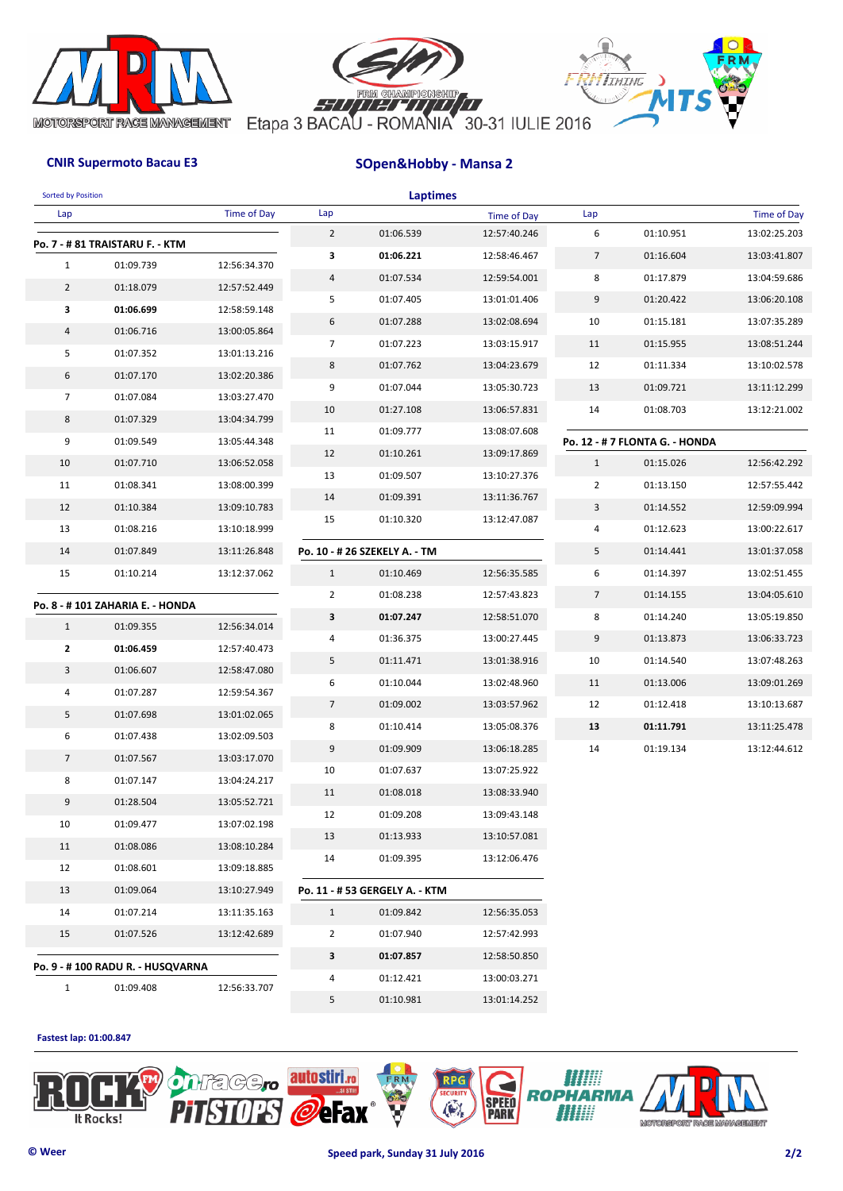





| <b>Sorted by Position</b> |                                  |                    |                | <b>Laptimes</b>                |                    |                |                                |                    |
|---------------------------|----------------------------------|--------------------|----------------|--------------------------------|--------------------|----------------|--------------------------------|--------------------|
| Lap                       |                                  | <b>Time of Day</b> | Lap            |                                | <b>Time of Day</b> | Lap            |                                | <b>Time of Day</b> |
|                           | Po. 7 - # 81 TRAISTARU F. - KTM  |                    | $\overline{2}$ | 01:06.539                      | 12:57:40.246       | 6              | 01:10.951                      | 13:02:25.203       |
| $\mathbf{1}$              | 01:09.739                        | 12:56:34.370       | 3              | 01:06.221                      | 12:58:46.467       | $\overline{7}$ | 01:16.604                      | 13:03:41.807       |
| $\overline{2}$            | 01:18.079                        | 12:57:52.449       | 4              | 01:07.534                      | 12:59:54.001       | 8              | 01:17.879                      | 13:04:59.686       |
| 3                         | 01:06.699                        | 12:58:59.148       | 5              | 01:07.405                      | 13:01:01.406       | 9              | 01:20.422                      | 13:06:20.108       |
| 4                         | 01:06.716                        | 13:00:05.864       | 6              | 01:07.288                      | 13:02:08.694       | 10             | 01:15.181                      | 13:07:35.289       |
| 5                         | 01:07.352                        | 13:01:13.216       | $\overline{7}$ | 01:07.223                      | 13:03:15.917       | 11             | 01:15.955                      | 13:08:51.244       |
| 6                         | 01:07.170                        | 13:02:20.386       | 8              | 01:07.762                      | 13:04:23.679       | 12             | 01:11.334                      | 13:10:02.578       |
| $\overline{7}$            | 01:07.084                        | 13:03:27.470       | 9              | 01:07.044                      | 13:05:30.723       | 13             | 01:09.721                      | 13:11:12.299       |
| 8                         | 01:07.329                        | 13:04:34.799       | 10             | 01:27.108                      | 13:06:57.831       | 14             | 01:08.703                      | 13:12:21.002       |
| 9                         | 01:09.549                        | 13:05:44.348       | 11             | 01:09.777                      | 13:08:07.608       |                | Po. 12 - # 7 FLONTA G. - HONDA |                    |
| 10                        | 01:07.710                        | 13:06:52.058       | 12             | 01:10.261                      | 13:09:17.869       | $\mathbf{1}$   | 01:15.026                      | 12:56:42.292       |
| 11                        | 01:08.341                        | 13:08:00.399       | 13             | 01:09.507                      | 13:10:27.376       | $\overline{2}$ | 01:13.150                      | 12:57:55.442       |
| 12                        | 01:10.384                        | 13:09:10.783       | 14             | 01:09.391                      | 13:11:36.767       | 3              | 01:14.552                      | 12:59:09.994       |
| 13                        | 01:08.216                        | 13:10:18.999       | 15             | 01:10.320                      | 13:12:47.087       | 4              | 01:12.623                      | 13:00:22.617       |
| 14                        | 01:07.849                        | 13:11:26.848       |                | Po. 10 - # 26 SZEKELY A. - TM  |                    | 5              | 01:14.441                      | 13:01:37.058       |
| 15                        | 01:10.214                        | 13:12:37.062       | $\mathbf{1}$   | 01:10.469                      | 12:56:35.585       | 6              | 01:14.397                      | 13:02:51.455       |
|                           |                                  |                    | $\overline{2}$ | 01:08.238                      | 12:57:43.823       | $\overline{7}$ | 01:14.155                      | 13:04:05.610       |
|                           | Po. 8 - #101 ZAHARIA E. - HONDA  |                    | 3              | 01:07.247                      | 12:58:51.070       | 8              | 01:14.240                      | 13:05:19.850       |
| $\mathbf{1}$              | 01:09.355                        | 12:56:34.014       | 4              | 01:36.375                      | 13:00:27.445       | 9              | 01:13.873                      | 13:06:33.723       |
| 2                         | 01:06.459                        | 12:57:40.473       | 5              | 01:11.471                      | 13:01:38.916       | 10             | 01:14.540                      | 13:07:48.263       |
| 3                         | 01:06.607                        | 12:58:47.080       | 6              | 01:10.044                      | 13:02:48.960       | 11             | 01:13.006                      | 13:09:01.269       |
| 4                         | 01:07.287                        | 12:59:54.367       | $\overline{7}$ | 01:09.002                      | 13:03:57.962       | 12             | 01:12.418                      | 13:10:13.687       |
| 5                         | 01:07.698                        | 13:01:02.065       | 8              | 01:10.414                      | 13:05:08.376       | 13             | 01:11.791                      | 13:11:25.478       |
| 6                         | 01:07.438                        | 13:02:09.503       | 9              | 01:09.909                      | 13:06:18.285       | 14             | 01:19.134                      | 13:12:44.612       |
| $\overline{7}$            | 01:07.567                        | 13:03:17.070       | 10             | 01:07.637                      | 13:07:25.922       |                |                                |                    |
| 8                         | 01:07.147                        | 13:04:24.217       | 11             | 01:08.018                      | 13:08:33.940       |                |                                |                    |
| 9                         | 01:28.504                        | 13:05:52.721       | 12             | 01:09.208                      | 13:09:43.148       |                |                                |                    |
| 10                        | 01:09.477                        | 13:07:02.198       | 13             | 01:13.933                      | 13:10:57.081       |                |                                |                    |
| 11                        | 01:08.086                        | 13:08:10.284       | 14             | 01:09.395                      | 13:12:06.476       |                |                                |                    |
| 12                        | 01:08.601                        | 13:09:18.885       |                |                                |                    |                |                                |                    |
| 13                        | 01:09.064                        | 13:10:27.949       |                | Po. 11 - # 53 GERGELY A. - KTM |                    |                |                                |                    |
| 14                        | 01:07.214                        | 13:11:35.163       | $\mathbf{1}$   | 01:09.842                      | 12:56:35.053       |                |                                |                    |
| 15                        | 01:07.526                        | 13:12:42.689       | $\overline{2}$ | 01:07.940                      | 12:57:42.993       |                |                                |                    |
|                           | Po. 9 - #100 RADU R. - HUSQVARNA |                    | 3              | 01:07.857                      | 12:58:50.850       |                |                                |                    |
| $\mathbf{1}$              | 01:09.408                        | 12:56:33.707       | 4              | 01:12.421                      | 13:00:03.271       |                |                                |                    |
|                           |                                  |                    | 5              | 01:10.981                      | 13:01:14.252       |                |                                |                    |

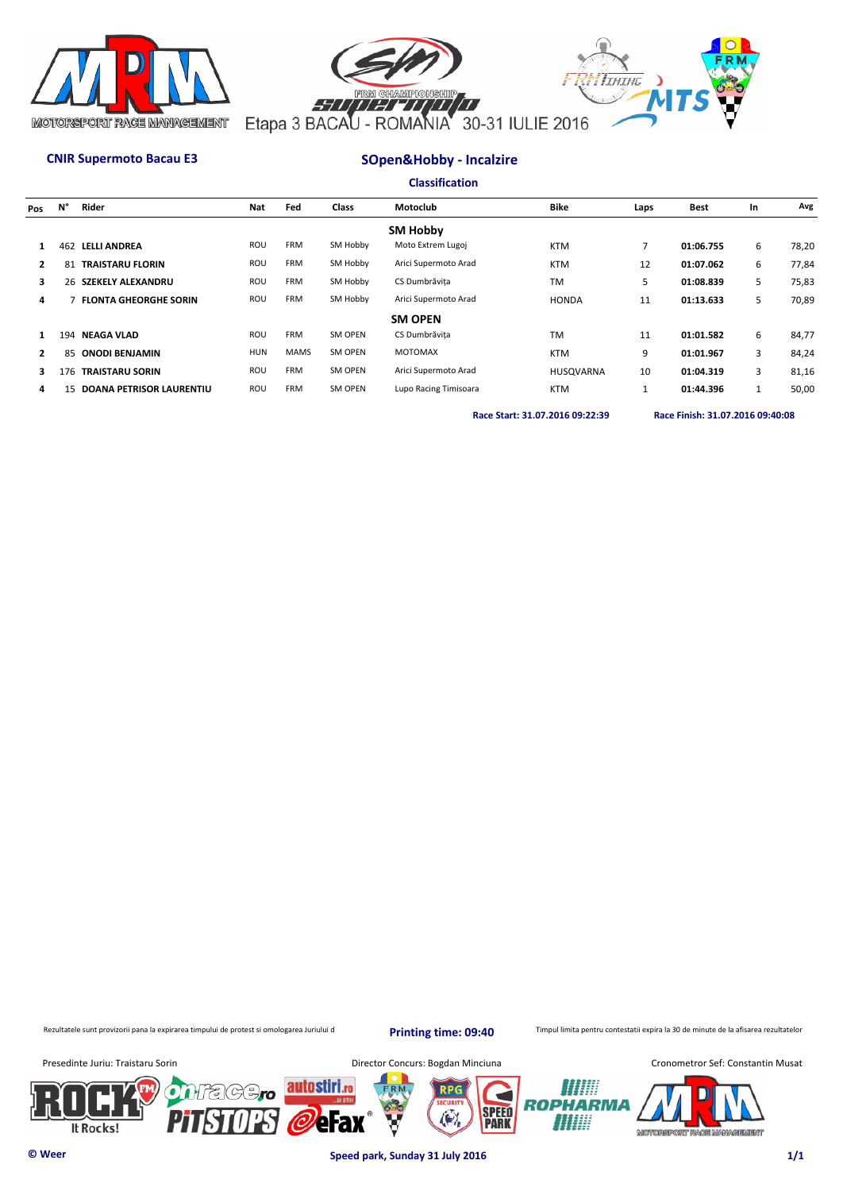



## **CNIR Supermoto Bacau E3 SOpen&Hobby - Incalzire**

**Classification**

| Pos | N°  | Rider                        | <b>Nat</b> | Fed         | <b>Class</b> | Motoclub              | <b>Bike</b>      | Laps | <b>Best</b> | In | Avg   |
|-----|-----|------------------------------|------------|-------------|--------------|-----------------------|------------------|------|-------------|----|-------|
|     |     |                              |            |             |              | <b>SM Hobby</b>       |                  |      |             |    |       |
|     | 462 | <b>LELLI ANDREA</b>          | ROU        | <b>FRM</b>  | SM Hobby     | Moto Extrem Lugoj     | <b>KTM</b>       | 7    | 01:06.755   | 6  | 78,20 |
| 2   | 81  | <b>TRAISTARU FLORIN</b>      | ROU        | <b>FRM</b>  | SM Hobby     | Arici Supermoto Arad  | <b>KTM</b>       | 12   | 01:07.062   | 6  | 77,84 |
| 3   |     | 26 SZEKELY ALEXANDRU         | ROU        | <b>FRM</b>  | SM Hobby     | CS Dumbrăvita         | <b>TM</b>        | 5    | 01:08.839   | 5  | 75,83 |
| 4   |     | <b>FLONTA GHEORGHE SORIN</b> | ROU        | <b>FRM</b>  | SM Hobby     | Arici Supermoto Arad  | <b>HONDA</b>     | 11   | 01:13.633   | 5  | 70,89 |
|     |     |                              |            |             |              | <b>SM OPEN</b>        |                  |      |             |    |       |
|     | 194 | <b>NEAGA VLAD</b>            | <b>ROU</b> | <b>FRM</b>  | SM OPEN      | CS Dumbrăvita         | <b>TM</b>        | 11   | 01:01.582   | 6  | 84,77 |
|     | 85  | <b>ONODI BENJAMIN</b>        | <b>HUN</b> | <b>MAMS</b> | SM OPEN      | <b>MOTOMAX</b>        | <b>KTM</b>       | 9    | 01:01.967   | 3  | 84,24 |
| 3   | 176 | <b>TRAISTARU SORIN</b>       | ROU        | <b>FRM</b>  | SM OPEN      | Arici Supermoto Arad  | <b>HUSOVARNA</b> | 10   | 01:04.319   | 3  | 81,16 |
| 4   | 15  | DOANA PETRISOR LAURENTIU     | <b>ROU</b> | <b>FRM</b>  | SM OPEN      | Lupo Racing Timisoara | <b>KTM</b>       | ш    | 01:44.396   |    | 50,00 |
|     |     |                              |            |             |              |                       |                  |      |             |    |       |

**Race Start: 31.07.2016 09:22:39 Race Finish: 31.07.2016 09:40:08** 

Rezultatele sunt provizorii pana la expirarea timpului de protest si omologarea Juriului d

**Printing time: 09:40**

Timpul limita pentru contestatii expira la 30 de minute de la afisarea rezultatelor



It Rocks!



**© Weer Speed park, Sunday 31 July 2016 1/1**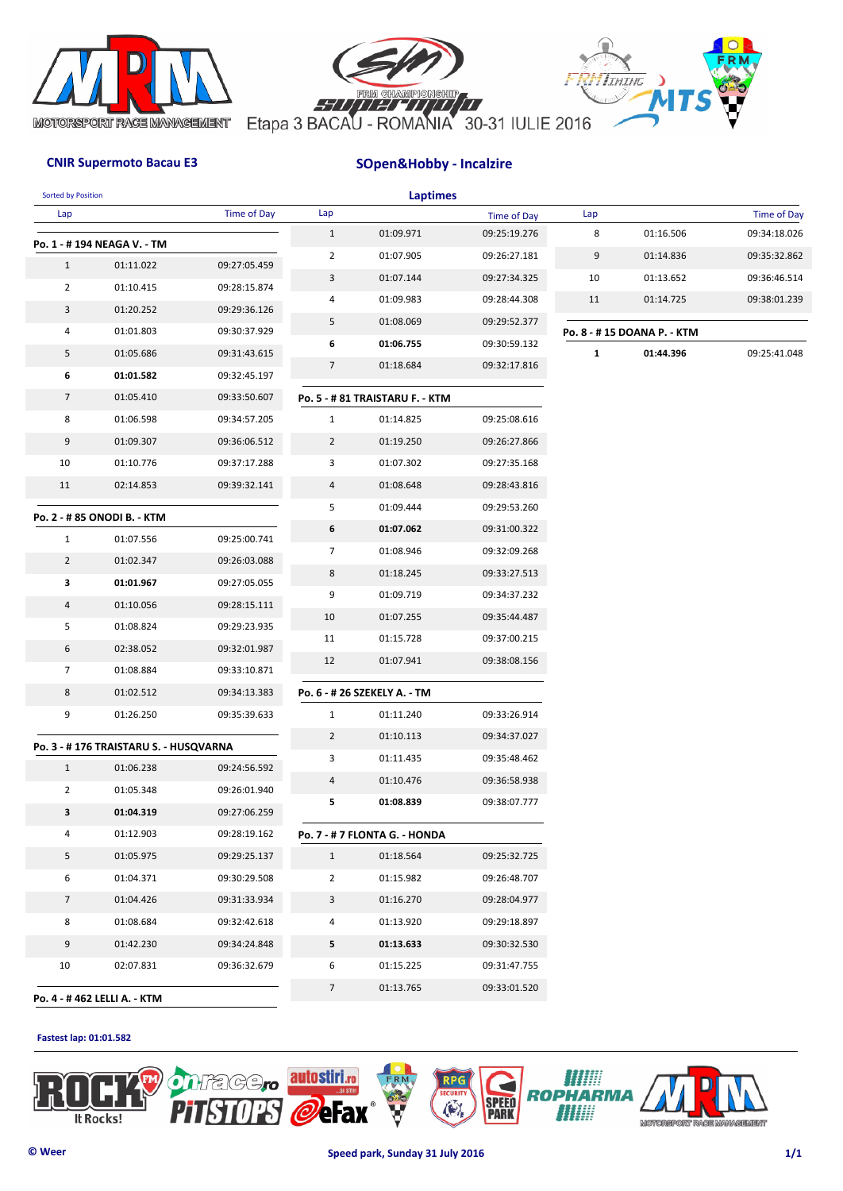





# **CNIR Supermoto Bacau E3 SOpen&Hobby - Incalzire**

| <b>Sorted by Position</b> |                                       |                    |                | <b>Laptimes</b>                 |                    |     |                            |                    |
|---------------------------|---------------------------------------|--------------------|----------------|---------------------------------|--------------------|-----|----------------------------|--------------------|
| Lap                       |                                       | <b>Time of Day</b> | Lap            |                                 | <b>Time of Day</b> | Lap |                            | <b>Time of Day</b> |
|                           | Po. 1 - #194 NEAGA V. - TM            |                    | $\mathbf{1}$   | 01:09.971                       | 09:25:19.276       | 8   | 01:16.506                  | 09:34:18.026       |
| $\mathbf{1}$              | 01:11.022                             | 09:27:05.459       | $\overline{2}$ | 01:07.905                       | 09:26:27.181       | 9   | 01:14.836                  | 09:35:32.862       |
| $\overline{2}$            | 01:10.415                             | 09:28:15.874       | 3              | 01:07.144                       | 09:27:34.325       | 10  | 01:13.652                  | 09:36:46.514       |
| 3                         | 01:20.252                             | 09:29:36.126       | 4              | 01:09.983                       | 09:28:44.308       | 11  | 01:14.725                  | 09:38:01.239       |
| 4                         | 01:01.803                             | 09:30:37.929       | 5              | 01:08.069                       | 09:29:52.377       |     | Po. 8 - #15 DOANA P. - KTM |                    |
| 5                         | 01:05.686                             | 09:31:43.615       | 6              | 01:06.755                       | 09:30:59.132       | 1   | 01:44.396                  | 09:25:41.048       |
| 6                         | 01:01.582                             | 09:32:45.197       | $\overline{7}$ | 01:18.684                       | 09:32:17.816       |     |                            |                    |
| $\overline{7}$            | 01:05.410                             | 09:33:50.607       |                | Po. 5 - # 81 TRAISTARU F. - KTM |                    |     |                            |                    |
| 8                         | 01:06.598                             | 09:34:57.205       | $\mathbf{1}$   | 01:14.825                       | 09:25:08.616       |     |                            |                    |
| 9                         | 01:09.307                             | 09:36:06.512       | $\overline{2}$ | 01:19.250                       | 09:26:27.866       |     |                            |                    |
| 10                        | 01:10.776                             | 09:37:17.288       | 3              | 01:07.302                       | 09:27:35.168       |     |                            |                    |
| 11                        | 02:14.853                             | 09:39:32.141       | 4              | 01:08.648                       | 09:28:43.816       |     |                            |                    |
|                           |                                       |                    | 5              | 01:09.444                       | 09:29:53.260       |     |                            |                    |
|                           | Po. 2 - #85 ONODI B. - KTM            |                    | 6              | 01:07.062                       | 09:31:00.322       |     |                            |                    |
| $\mathbf{1}$              | 01:07.556                             | 09:25:00.741       | $\overline{7}$ | 01:08.946                       | 09:32:09.268       |     |                            |                    |
| $\overline{2}$            | 01:02.347                             | 09:26:03.088       | 8              | 01:18.245                       | 09:33:27.513       |     |                            |                    |
| 3                         | 01:01.967                             | 09:27:05.055       | 9              | 01:09.719                       | 09:34:37.232       |     |                            |                    |
| $\overline{a}$            | 01:10.056                             | 09:28:15.111       | 10             | 01:07.255                       | 09:35:44.487       |     |                            |                    |
| 5                         | 01:08.824                             | 09:29:23.935       | 11             | 01:15.728                       | 09:37:00.215       |     |                            |                    |
| 6                         | 02:38.052                             | 09:32:01.987       | 12             | 01:07.941                       | 09:38:08.156       |     |                            |                    |
| $7\overline{ }$           | 01:08.884                             | 09:33:10.871       |                |                                 |                    |     |                            |                    |
| 8                         | 01:02.512                             | 09:34:13.383       |                | Po. 6 - # 26 SZEKELY A. - TM    |                    |     |                            |                    |
| 9                         | 01:26.250                             | 09:35:39.633       | $\mathbf{1}$   | 01:11.240                       | 09:33:26.914       |     |                            |                    |
|                           | Po. 3 - #176 TRAISTARU S. - HUSQVARNA |                    | $\overline{2}$ | 01:10.113                       | 09:34:37.027       |     |                            |                    |
| $\mathbf{1}$              | 01:06.238                             | 09:24:56.592       | 3              | 01:11.435                       | 09:35:48.462       |     |                            |                    |
| $\overline{2}$            | 01:05.348                             | 09:26:01.940       | 4              | 01:10.476                       | 09:36:58.938       |     |                            |                    |
| 3                         | 01:04.319                             | 09:27:06.259       | 5              | 01:08.839                       | 09:38:07.777       |     |                            |                    |
| 4                         | 01:12.903                             | 09:28:19.162       |                | Po. 7 - # 7 FLONTA G. - HONDA   |                    |     |                            |                    |
| 5                         | 01:05.975                             | 09:29:25.137       | $\mathbf{1}$   | 01:18.564                       | 09:25:32.725       |     |                            |                    |
| 6                         | 01:04.371                             | 09:30:29.508       | $\overline{2}$ | 01:15.982                       | 09:26:48.707       |     |                            |                    |
| $\overline{7}$            | 01:04.426                             | 09:31:33.934       | 3              | 01:16.270                       | 09:28:04.977       |     |                            |                    |
| 8                         | 01:08.684                             | 09:32:42.618       | 4              | 01:13.920                       | 09:29:18.897       |     |                            |                    |
| 9                         | 01:42.230                             | 09:34:24.848       | 5              | 01:13.633                       | 09:30:32.530       |     |                            |                    |
| 10                        | 02:07.831                             | 09:36:32.679       | 6              | 01:15.225                       | 09:31:47.755       |     |                            |                    |
|                           |                                       |                    | $\overline{7}$ | 01:13.765                       | 09:33:01.520       |     |                            |                    |
|                           | Po. 4 - #462 LELLI A. - KTM           |                    |                |                                 |                    |     |                            |                    |

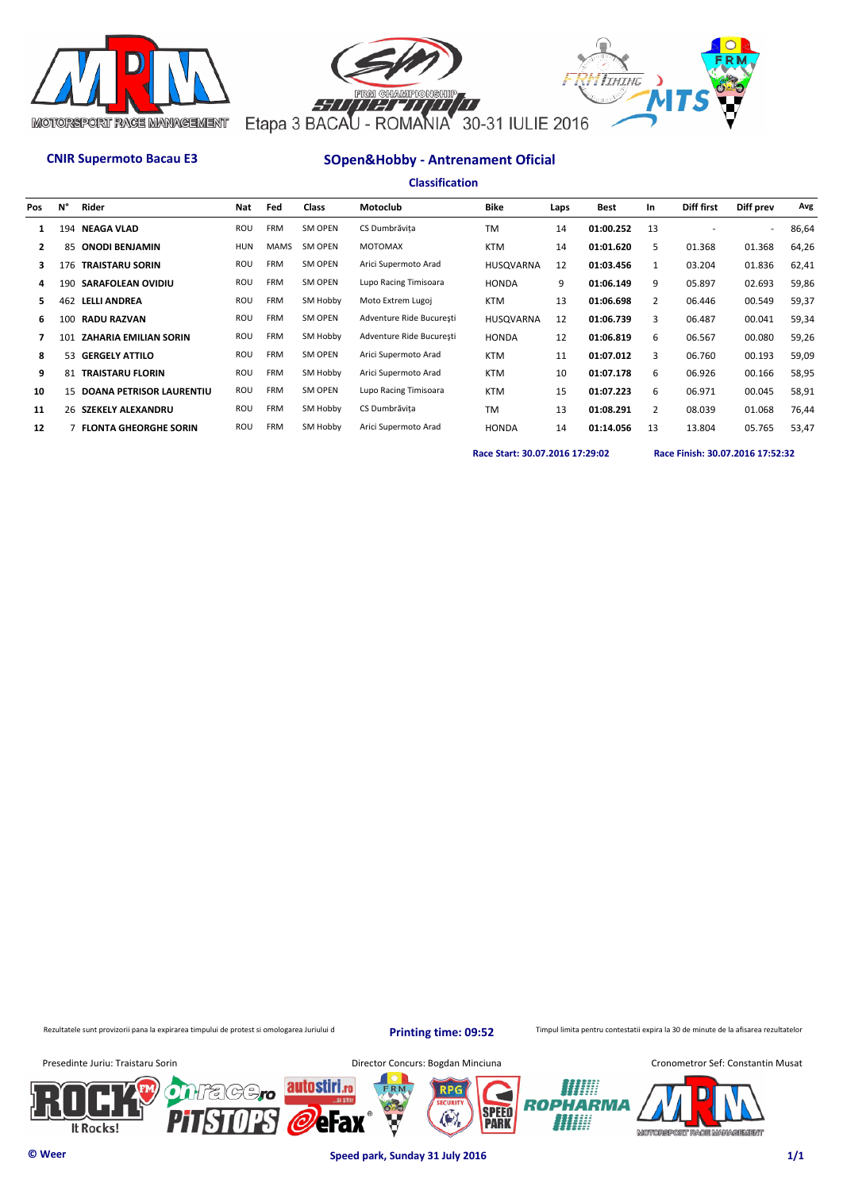





### **CNIR Supermoto Bacau E3 SOpen&Hobby - Antrenament Oficial**

**Classification**

| Pos | N°  | Rider                              | Nat        | Fed         | Class    | Motoclub                 | <b>Bike</b>      | Laps | <b>Best</b> | In | Diff first | Diff prev | Avg   |
|-----|-----|------------------------------------|------------|-------------|----------|--------------------------|------------------|------|-------------|----|------------|-----------|-------|
|     |     | 194 NEAGA VLAD                     | ROU        | <b>FRM</b>  | SM OPEN  | CS Dumbrăvita            | <b>TM</b>        | 14   | 01:00.252   | 13 |            | ٠         | 86,64 |
| 2   | 85  | <b>ONODI BENJAMIN</b>              | <b>HUN</b> | <b>MAMS</b> | SM OPEN  | <b>MOTOMAX</b>           | <b>KTM</b>       | 14   | 01:01.620   | 5. | 01.368     | 01.368    | 64,26 |
| 3   | 176 | <b>TRAISTARU SORIN</b>             | ROU        | <b>FRM</b>  | SM OPEN  | Arici Supermoto Arad     | <b>HUSQVARNA</b> | 12   | 01:03.456   |    | 03.204     | 01.836    | 62,41 |
| 4   | 190 | <b>SARAFOLEAN OVIDIU</b>           | ROU        | <b>FRM</b>  | SM OPEN  | Lupo Racing Timisoara    | <b>HONDA</b>     | 9    | 01:06.149   | 9  | 05.897     | 02.693    | 59,86 |
| 5.  | 462 | <b>LELLI ANDREA</b>                | ROU        | <b>FRM</b>  | SM Hobby | Moto Extrem Lugoj        | <b>KTM</b>       | 13   | 01:06.698   | 2  | 06.446     | 00.549    | 59,37 |
| 6   | 100 | <b>RADU RAZVAN</b>                 | ROU        | <b>FRM</b>  | SM OPEN  | Adventure Ride București | <b>HUSQVARNA</b> | 12   | 01:06.739   | 3  | 06.487     | 00.041    | 59,34 |
|     | 101 | <b>ZAHARIA EMILIAN SORIN</b>       | ROU        | <b>FRM</b>  | SM Hobby | Adventure Ride București | <b>HONDA</b>     | 12   | 01:06.819   | 6  | 06.567     | 00.080    | 59,26 |
| 8   | 53  | <b>GERGELY ATTILO</b>              | ROU        | <b>FRM</b>  | SM OPEN  | Arici Supermoto Arad     | <b>KTM</b>       | 11   | 01:07.012   | 3  | 06.760     | 00.193    | 59,09 |
| 9   | 81  | <b>TRAISTARU FLORIN</b>            | ROU        | <b>FRM</b>  | SM Hobby | Arici Supermoto Arad     | <b>KTM</b>       | 10   | 01:07.178   | 6  | 06.926     | 00.166    | 58,95 |
| 10  |     | <b>15 DOANA PETRISOR LAURENTIU</b> | ROU        | <b>FRM</b>  | SM OPEN  | Lupo Racing Timisoara    | <b>KTM</b>       | 15   | 01:07.223   | 6  | 06.971     | 00.045    | 58,91 |
| 11  |     | 26 SZEKELY ALEXANDRU               | ROU        | <b>FRM</b>  | SM Hobby | CS Dumbrăvita            | <b>TM</b>        | 13   | 01:08.291   | 2  | 08.039     | 01.068    | 76,44 |
| 12  |     | <b>FLONTA GHEORGHE SORIN</b>       | ROU        | <b>FRM</b>  | SM Hobby | Arici Supermoto Arad     | <b>HONDA</b>     | 14   | 01:14.056   | 13 | 13.804     | 05.765    | 53,47 |

**Race Start: 30.07.2016 17:29:02 Race Finish: 30.07.2016 17:52:32** 

Rezultatele sunt provizorii pana la expirarea timpului de protest si omologarea Juriului d

**Printing time: 09:52**

RE

**SPEED**<br>PARK

Timpul limita pentru contestatii expira la 30 de minute de la afisarea rezultatelor

**ROPHARMA** 

拼描

It Rocks!

Presedinte Juriu: Traistaru Sorin **Director Concurs: Bogdan Minciuna** 







Cronometror Sef: Constantin Musat

**MOTORSPORT RACE MANAGEMENT**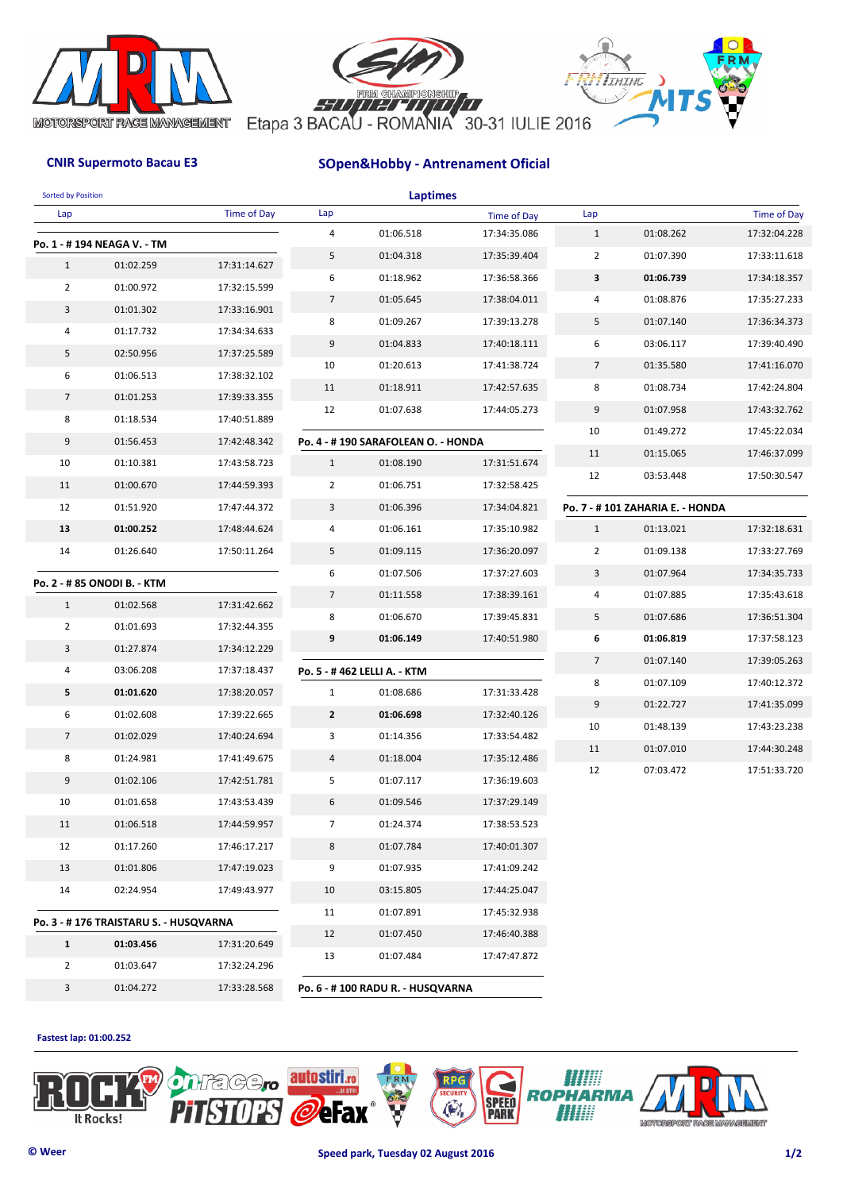





# **CNIR Supermoto Bacau E3 SOpen&Hobby - Antrenament Oficial**

| <b>Sorted by Position</b> |                                       |                    |                 | <b>Laptimes</b>                    |                    |                |                                  |                    |
|---------------------------|---------------------------------------|--------------------|-----------------|------------------------------------|--------------------|----------------|----------------------------------|--------------------|
| Lap                       |                                       | <b>Time of Day</b> | Lap             |                                    | <b>Time of Day</b> | Lap            |                                  | <b>Time of Day</b> |
|                           | Po. 1 - #194 NEAGA V. - TM            |                    | 4               | 01:06.518                          | 17:34:35.086       | $\mathbf{1}$   | 01:08.262                        | 17:32:04.228       |
| $\mathbf{1}$              | 01:02.259                             | 17:31:14.627       | 5               | 01:04.318                          | 17:35:39.404       | $\overline{2}$ | 01:07.390                        | 17:33:11.618       |
| $\overline{2}$            | 01:00.972                             | 17:32:15.599       | 6               | 01:18.962                          | 17:36:58.366       | 3              | 01:06.739                        | 17:34:18.357       |
| 3                         | 01:01.302                             | 17:33:16.901       | $\overline{7}$  | 01:05.645                          | 17:38:04.011       | 4              | 01:08.876                        | 17:35:27.233       |
| 4                         | 01:17.732                             | 17:34:34.633       | 8               | 01:09.267                          | 17:39:13.278       | 5              | 01:07.140                        | 17:36:34.373       |
| 5                         | 02:50.956                             | 17:37:25.589       | 9               | 01:04.833                          | 17:40:18.111       | 6              | 03:06.117                        | 17:39:40.490       |
| 6                         | 01:06.513                             | 17:38:32.102       | 10              | 01:20.613                          | 17:41:38.724       | $\overline{7}$ | 01:35.580                        | 17:41:16.070       |
| $\overline{7}$            | 01:01.253                             | 17:39:33.355       | 11              | 01:18.911                          | 17:42:57.635       | 8              | 01:08.734                        | 17:42:24.804       |
| 8                         | 01:18.534                             | 17:40:51.889       | 12              | 01:07.638                          | 17:44:05.273       | 9              | 01:07.958                        | 17:43:32.762       |
| 9                         | 01:56.453                             | 17:42:48.342       |                 | Po. 4 - #190 SARAFOLEAN O. - HONDA |                    | 10             | 01:49.272                        | 17:45:22.034       |
| 10                        | 01:10.381                             | 17:43:58.723       | $\mathbf{1}$    | 01:08.190                          | 17:31:51.674       | 11             | 01:15.065                        | 17:46:37.099       |
| 11                        | 01:00.670                             | 17:44:59.393       | $\overline{2}$  | 01:06.751                          | 17:32:58.425       | 12             | 03:53.448                        | 17:50:30.547       |
| 12                        | 01:51.920                             | 17:47:44.372       | 3               | 01:06.396                          | 17:34:04.821       |                | Po. 7 - # 101 ZAHARIA E. - HONDA |                    |
| 13                        | 01:00.252                             | 17:48:44.624       | 4               | 01:06.161                          | 17:35:10.982       | $\mathbf{1}$   | 01:13.021                        | 17:32:18.631       |
| 14                        | 01:26.640                             | 17:50:11.264       | 5               | 01:09.115                          | 17:36:20.097       | $\overline{2}$ | 01:09.138                        | 17:33:27.769       |
|                           |                                       |                    | 6               | 01:07.506                          | 17:37:27.603       | 3              | 01:07.964                        | 17:34:35.733       |
|                           | Po. 2 - # 85 ONODI B. - KTM           |                    | $7\overline{ }$ | 01:11.558                          | 17:38:39.161       | 4              | 01:07.885                        | 17:35:43.618       |
| $\mathbf{1}$              | 01:02.568                             | 17:31:42.662       | 8               | 01:06.670                          | 17:39:45.831       | 5              | 01:07.686                        | 17:36:51.304       |
| $\overline{2}$            | 01:01.693                             | 17:32:44.355       | 9               | 01:06.149                          | 17:40:51.980       | 6              | 01:06.819                        | 17:37:58.123       |
| 3                         | 01:27.874                             | 17:34:12.229       |                 |                                    |                    | $\overline{7}$ | 01:07.140                        | 17:39:05.263       |
| 4                         | 03:06.208                             | 17:37:18.437       |                 | Po. 5 - #462 LELLI A. - KTM        |                    | 8              | 01:07.109                        | 17:40:12.372       |
| 5                         | 01:01.620                             | 17:38:20.057       | $\mathbf{1}$    | 01:08.686                          | 17:31:33.428       | 9              | 01:22.727                        | 17:41:35.099       |
| 6                         | 01:02.608                             | 17:39:22.665       | $\overline{2}$  | 01:06.698                          | 17:32:40.126       | 10             | 01:48.139                        | 17:43:23.238       |
| $7\overline{ }$           | 01:02.029                             | 17:40:24.694       | 3               | 01:14.356                          | 17:33:54.482       | 11             | 01:07.010                        | 17:44:30.248       |
| 8                         | 01:24.981                             | 17:41:49.675       | 4               | 01:18.004                          | 17:35:12.486       | 12             | 07:03.472                        | 17:51:33.720       |
| 9                         | 01:02.106                             | 17:42:51.781       | 5               | 01:07.117                          | 17:36:19.603       |                |                                  |                    |
| 10                        | 01:01.658                             | 17:43:53.439       | 6               | 01:09.546                          | 17:37:29.149       |                |                                  |                    |
| 11                        | 01:06.518                             | 17:44:59.957       | $\overline{7}$  | 01:24.374                          | 17:38:53.523       |                |                                  |                    |
| 12                        | 01:17.260                             | 17:46:17.217       | 8               | 01:07.784                          | 17:40:01.307       |                |                                  |                    |
| 13                        | 01:01.806                             | 17:47:19.023       | 9               | 01:07.935                          | 17:41:09.242       |                |                                  |                    |
| 14                        | 02:24.954                             | 17:49:43.977       | 10              | 03:15.805                          | 17:44:25.047       |                |                                  |                    |
|                           | Po. 3 - #176 TRAISTARU S. - HUSQVARNA |                    | 11              | 01:07.891                          | 17:45:32.938       |                |                                  |                    |
| $\mathbf{1}$              | 01:03.456                             | 17:31:20.649       | 12              | 01:07.450                          | 17:46:40.388       |                |                                  |                    |
| $\overline{2}$            | 01:03.647                             | 17:32:24.296       | 13              | 01:07.484                          | 17:47:47.872       |                |                                  |                    |
| $\mathbf{3}$              | 01:04.272                             | 17:33:28.568       |                 | Po. 6 - # 100 RADU R. - HUSQVARNA  |                    |                |                                  |                    |
|                           |                                       |                    |                 |                                    |                    |                |                                  |                    |